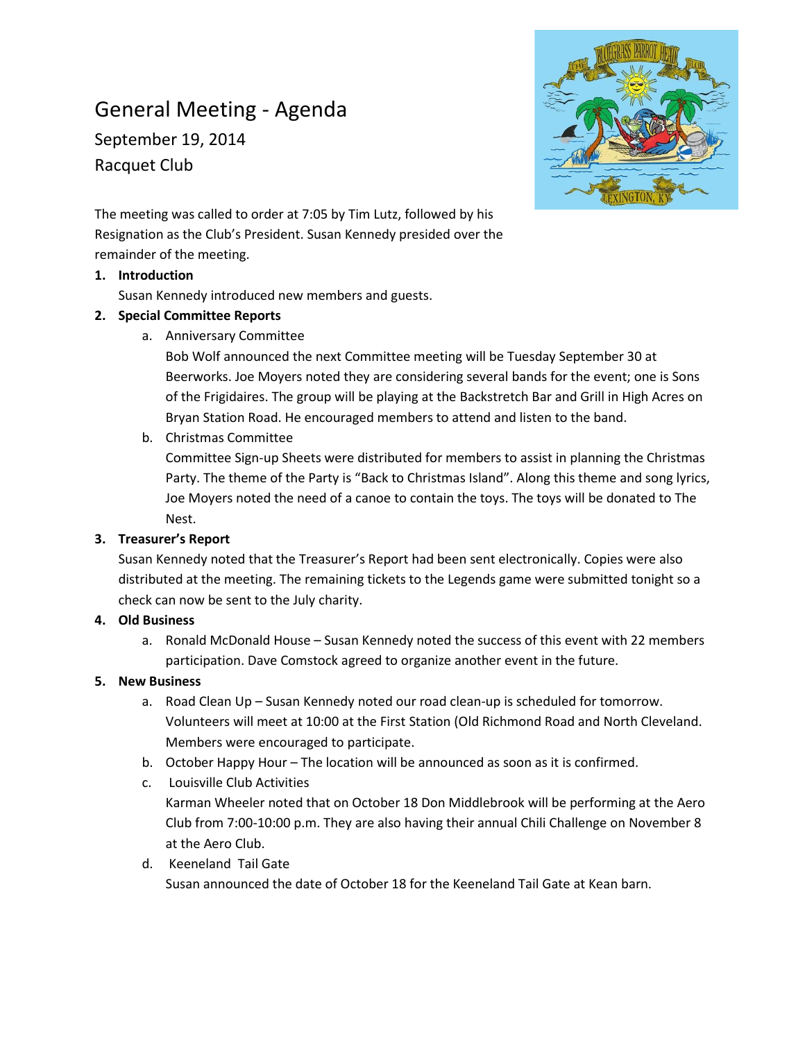# General Meeting - Agenda

September 19, 2014 Racquet Club



The meeting was called to order at 7:05 by Tim Lutz, followed by his Resignation as the Club's President. Susan Kennedy presided over the remainder of the meeting.

#### **1. Introduction**

Susan Kennedy introduced new members and guests.

## **2. Special Committee Reports**

a. Anniversary Committee

Bob Wolf announced the next Committee meeting will be Tuesday September 30 at Beerworks. Joe Moyers noted they are considering several bands for the event; one is Sons of the Frigidaires. The group will be playing at the Backstretch Bar and Grill in High Acres on Bryan Station Road. He encouraged members to attend and listen to the band.

# b. Christmas Committee

Committee Sign-up Sheets were distributed for members to assist in planning the Christmas Party. The theme of the Party is "Back to Christmas Island". Along this theme and song lyrics, Joe Moyers noted the need of a canoe to contain the toys. The toys will be donated to The Nest.

# **3. Treasurer's Report**

Susan Kennedy noted that the Treasurer's Report had been sent electronically. Copies were also distributed at the meeting. The remaining tickets to the Legends game were submitted tonight so a check can now be sent to the July charity.

#### **4. Old Business**

a. Ronald McDonald House – Susan Kennedy noted the success of this event with 22 members participation. Dave Comstock agreed to organize another event in the future.

# **5. New Business**

- a. Road Clean Up Susan Kennedy noted our road clean-up is scheduled for tomorrow. Volunteers will meet at 10:00 at the First Station (Old Richmond Road and North Cleveland. Members were encouraged to participate.
- b. October Happy Hour The location will be announced as soon as it is confirmed.
- c. Louisville Club Activities Karman Wheeler noted that on October 18 Don Middlebrook will be performing at the Aero Club from 7:00-10:00 p.m. They are also having their annual Chili Challenge on November 8 at the Aero Club.
- d. Keeneland Tail Gate Susan announced the date of October 18 for the Keeneland Tail Gate at Kean barn.